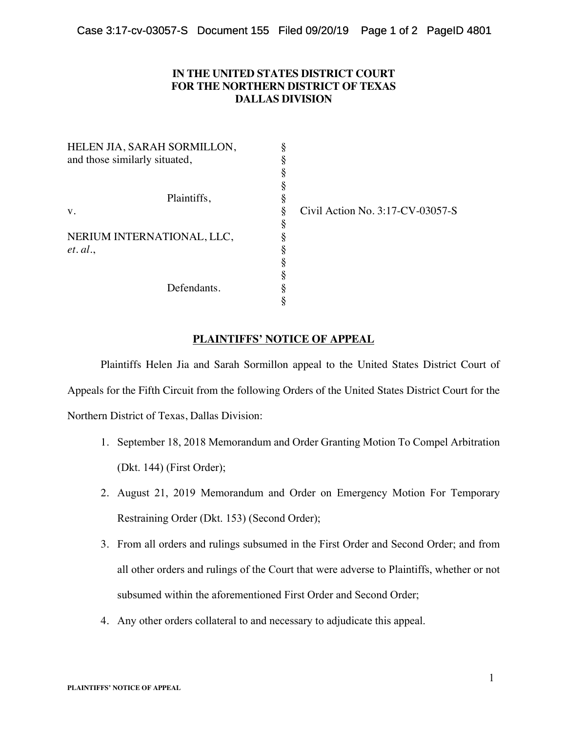## **IN THE UNITED STATES DISTRICT COURT FOR THE NORTHERN DISTRICT OF TEXAS DALLAS DIVISION**

| HELEN JIA, SARAH SORMILLON,              |                                  |
|------------------------------------------|----------------------------------|
| and those similarly situated,            |                                  |
|                                          |                                  |
|                                          |                                  |
| Plaintiffs,<br>V.                        |                                  |
|                                          | Civil Action No. 3:17-CV-03057-S |
|                                          |                                  |
| NERIUM INTERNATIONAL, LLC,<br>$et.$ al., |                                  |
|                                          |                                  |
|                                          |                                  |
|                                          |                                  |
| Defendants.                              |                                  |
|                                          |                                  |

## **PLAINTIFFS' NOTICE OF APPEAL**

Plaintiffs Helen Jia and Sarah Sormillon appeal to the United States District Court of Appeals for the Fifth Circuit from the following Orders of the United States District Court for the Northern District of Texas, Dallas Division:

- 1. September 18, 2018 Memorandum and Order Granting Motion To Compel Arbitration (Dkt. 144) (First Order);
- 2. August 21, 2019 Memorandum and Order on Emergency Motion For Temporary Restraining Order (Dkt. 153) (Second Order);
- 3. From all orders and rulings subsumed in the First Order and Second Order; and from all other orders and rulings of the Court that were adverse to Plaintiffs, whether or not subsumed within the aforementioned First Order and Second Order;
- 4. Any other orders collateral to and necessary to adjudicate this appeal.